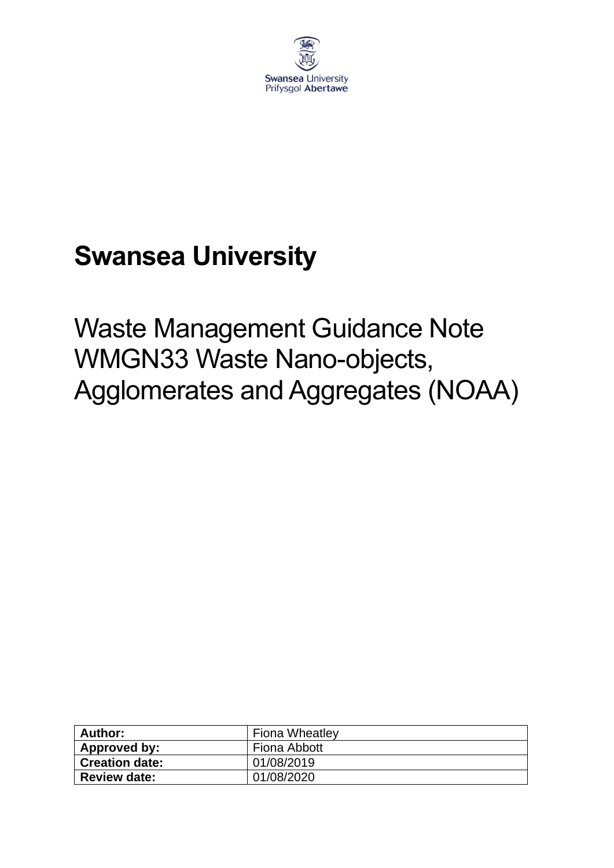

# **Swansea University**

Waste Management Guidance Note WMGN33 Waste Nano-objects, Agglomerates and Aggregates (NOAA)

| Author:               | <b>Fiona Wheatley</b> |  |
|-----------------------|-----------------------|--|
| Approved by:          | Fiona Abbott          |  |
| <b>Creation date:</b> | 01/08/2019            |  |
| <b>Review date:</b>   | 01/08/2020            |  |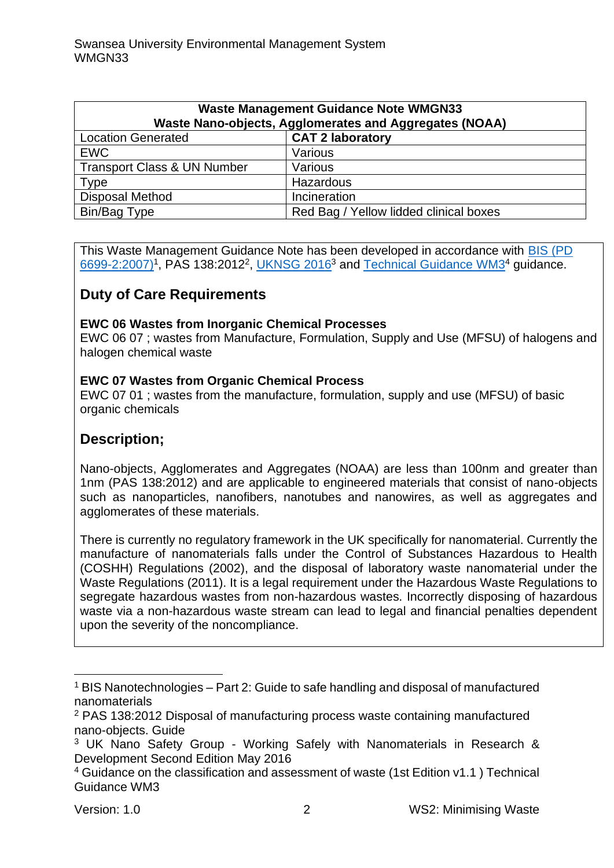| <b>Waste Management Guidance Note WMGN33</b><br>Waste Nano-objects, Agglomerates and Aggregates (NOAA) |                                        |  |  |
|--------------------------------------------------------------------------------------------------------|----------------------------------------|--|--|
| <b>Location Generated</b>                                                                              | <b>CAT 2 laboratory</b>                |  |  |
| <b>EWC</b>                                                                                             | Various                                |  |  |
| <b>Transport Class &amp; UN Number</b>                                                                 | Various                                |  |  |
| Type                                                                                                   | Hazardous                              |  |  |
| <b>Disposal Method</b>                                                                                 | Incineration                           |  |  |
| Bin/Bag Type                                                                                           | Red Bag / Yellow lidded clinical boxes |  |  |

This Waste Management Guidance Note has been developed in accordance with [BIS \(PD](http://www3.imperial.ac.uk/pls/portallive/docs/1/34683696.PDF)  [6699-2:2007\)](http://www3.imperial.ac.uk/pls/portallive/docs/1/34683696.PDF)<sup>1</sup>, PAS 138:2012<sup>2</sup>, [UKNSG 2016](http://www.safenano.org/media/108929/UKNSG%20Guidance%20-%20Working%20Safely%20with%20Nanomaterials%20-%202nd%20Edition.pdf)<sup>3</sup> and [Technical Guidance WM3](https://assets.publishing.service.gov.uk/government/uploads/system/uploads/attachment_data/file/719394/Waste-classification-technical-guidance-WM3.pdf)<sup>4</sup> guidance.

## **Duty of Care Requirements**

#### **EWC 06 Wastes from Inorganic Chemical Processes**

EWC 06 07 ; wastes from Manufacture, Formulation, Supply and Use (MFSU) of halogens and halogen chemical waste

#### **EWC 07 Wastes from Organic Chemical Process**

EWC 07 01 ; wastes from the manufacture, formulation, supply and use (MFSU) of basic organic chemicals

## **Description;**

Nano-objects, Agglomerates and Aggregates (NOAA) are less than 100nm and greater than 1nm (PAS 138:2012) and are applicable to engineered materials that consist of nano-objects such as nanoparticles, nanofibers, nanotubes and nanowires, as well as aggregates and agglomerates of these materials.

There is currently no regulatory framework in the UK specifically for nanomaterial. Currently the manufacture of nanomaterials falls under the Control of Substances Hazardous to Health (COSHH) Regulations (2002), and the disposal of laboratory waste nanomaterial under the Waste Regulations (2011). It is a legal requirement under the Hazardous Waste Regulations to segregate hazardous wastes from non-hazardous wastes. Incorrectly disposing of hazardous waste via a non-hazardous waste stream can lead to legal and financial penalties dependent upon the severity of the noncompliance.

 $1$  BIS Nanotechnologies – Part 2: Guide to safe handling and disposal of manufactured nanomaterials

<sup>2</sup> PAS 138:2012 Disposal of manufacturing process waste containing manufactured nano-objects. Guide

<sup>3</sup> UK Nano Safety Group - Working Safely with Nanomaterials in Research & Development Second Edition May 2016

<sup>4</sup> Guidance on the classification and assessment of waste (1st Edition v1.1 ) Technical Guidance WM3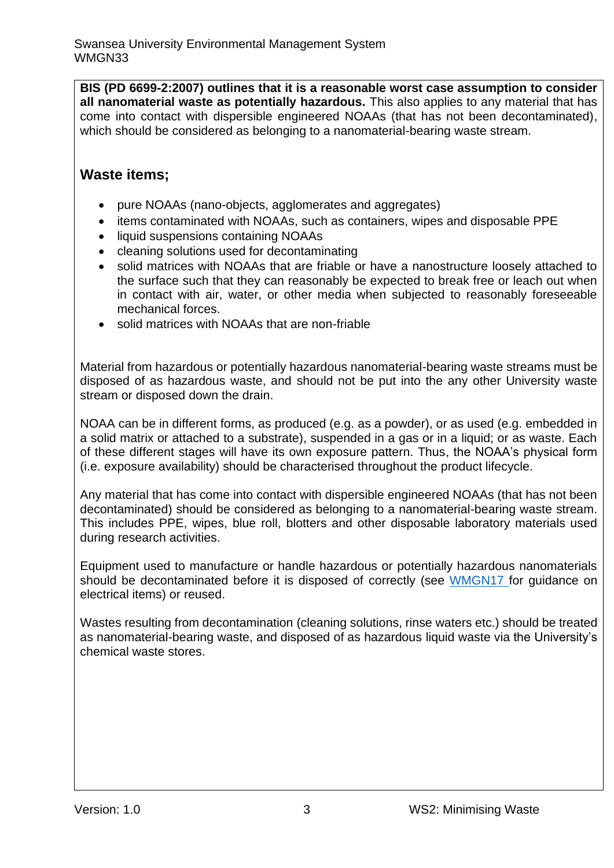**BIS (PD 6699-2:2007) outlines that it is a reasonable worst case assumption to consider all nanomaterial waste as potentially hazardous.** This also applies to any material that has come into contact with dispersible engineered NOAAs (that has not been decontaminated), which should be considered as belonging to a nanomaterial-bearing waste stream.

## **Waste items;**

- pure NOAAs (nano-objects, agglomerates and aggregates)
- items contaminated with NOAAs, such as containers, wipes and disposable PPE
- liquid suspensions containing NOAAs
- cleaning solutions used for decontaminating
- solid matrices with NOAAs that are friable or have a nanostructure loosely attached to the surface such that they can reasonably be expected to break free or leach out when in contact with air, water, or other media when subjected to reasonably foreseeable mechanical forces.
- solid matrices with NOAAs that are non-friable

Material from hazardous or potentially hazardous nanomaterial-bearing waste streams must be disposed of as hazardous waste, and should not be put into the any other University waste stream or disposed down the drain.

NOAA can be in different forms, as produced (e.g. as a powder), or as used (e.g. embedded in a solid matrix or attached to a substrate), suspended in a gas or in a liquid; or as waste. Each of these different stages will have its own exposure pattern. Thus, the NOAA's physical form (i.e. exposure availability) should be characterised throughout the product lifecycle.

Any material that has come into contact with dispersible engineered NOAAs (that has not been decontaminated) should be considered as belonging to a nanomaterial-bearing waste stream. This includes PPE, wipes, blue roll, blotters and other disposable laboratory materials used during research activities.

Equipment used to manufacture or handle hazardous or potentially hazardous nanomaterials should be decontaminated before it is disposed of correctly (see [WMGN17](https://www.swansea.ac.uk/media/wmgn17-weee.pdf) for guidance on electrical items) or reused.

Wastes resulting from decontamination (cleaning solutions, rinse waters etc.) should be treated as nanomaterial-bearing waste, and disposed of as hazardous liquid waste via the University's chemical waste stores.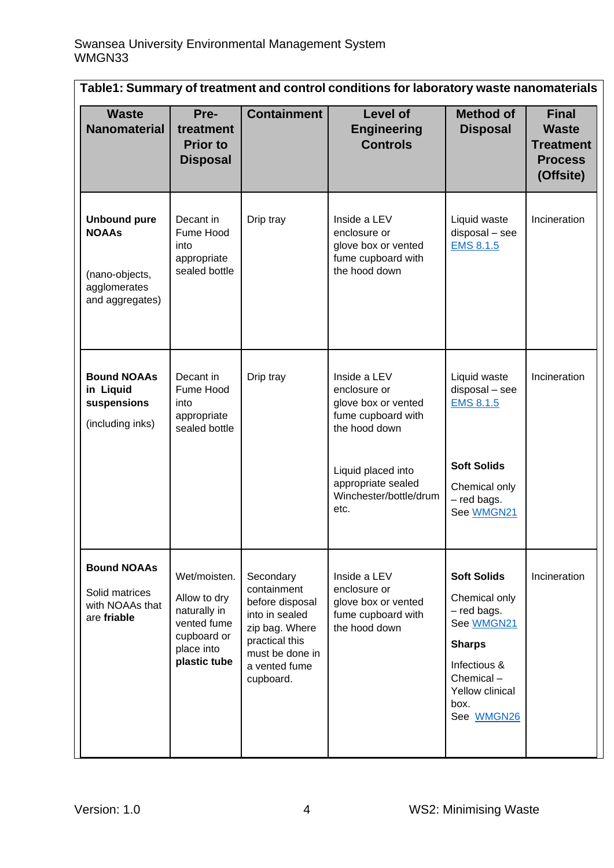| Table1: Summary of treatment and control conditions for laboratory waste nanomaterials   |                                                                                                          |                                                                                                                                                    |                                                                                                                                                                          |                                                                                                                                                         |                                                                                 |
|------------------------------------------------------------------------------------------|----------------------------------------------------------------------------------------------------------|----------------------------------------------------------------------------------------------------------------------------------------------------|--------------------------------------------------------------------------------------------------------------------------------------------------------------------------|---------------------------------------------------------------------------------------------------------------------------------------------------------|---------------------------------------------------------------------------------|
| <b>Waste</b><br><b>Nanomaterial</b>                                                      | Pre-<br>treatment<br><b>Prior to</b><br><b>Disposal</b>                                                  | <b>Containment</b>                                                                                                                                 | <b>Level of</b><br><b>Engineering</b><br><b>Controls</b>                                                                                                                 | <b>Method of</b><br><b>Disposal</b>                                                                                                                     | <b>Final</b><br><b>Waste</b><br><b>Treatment</b><br><b>Process</b><br>(Offsite) |
| <b>Unbound pure</b><br><b>NOAAs</b><br>(nano-objects,<br>agglomerates<br>and aggregates) | Decant in<br>Fume Hood<br>into<br>appropriate<br>sealed bottle                                           | Drip tray                                                                                                                                          | Inside a LEV<br>enclosure or<br>glove box or vented<br>fume cupboard with<br>the hood down                                                                               | Liquid waste<br>disposal - see<br><b>EMS 8.1.5</b>                                                                                                      | Incineration                                                                    |
| <b>Bound NOAAs</b><br>in Liquid<br>suspensions<br>(including inks)                       | Decant in<br>Fume Hood<br>into<br>appropriate<br>sealed bottle                                           | Drip tray                                                                                                                                          | Inside a LEV<br>enclosure or<br>glove box or vented<br>fume cupboard with<br>the hood down<br>Liquid placed into<br>appropriate sealed<br>Winchester/bottle/drum<br>etc. | Liquid waste<br>disposal - see<br><b>EMS 8.1.5</b><br><b>Soft Solids</b><br>Chemical only<br>- red bags.<br>See WMGN21                                  | Incineration                                                                    |
| <b>Bound NOAAs</b><br>Solid matrices<br>with NOAAs that<br>are friable                   | Wet/moisten.<br>Allow to dry<br>naturally in<br>vented fume<br>cupboard or<br>place into<br>plastic tube | Secondary<br>containment<br>before disposal<br>into in sealed<br>zip bag. Where<br>practical this<br>must be done in<br>a vented fume<br>cupboard. | Inside a LEV<br>enclosure or<br>glove box or vented<br>fume cupboard with<br>the hood down                                                                               | <b>Soft Solids</b><br>Chemical only<br>- red bags.<br>See WMGN21<br><b>Sharps</b><br>Infectious &<br>Chemical-<br>Yellow clinical<br>box.<br>See WMGN26 | Incineration                                                                    |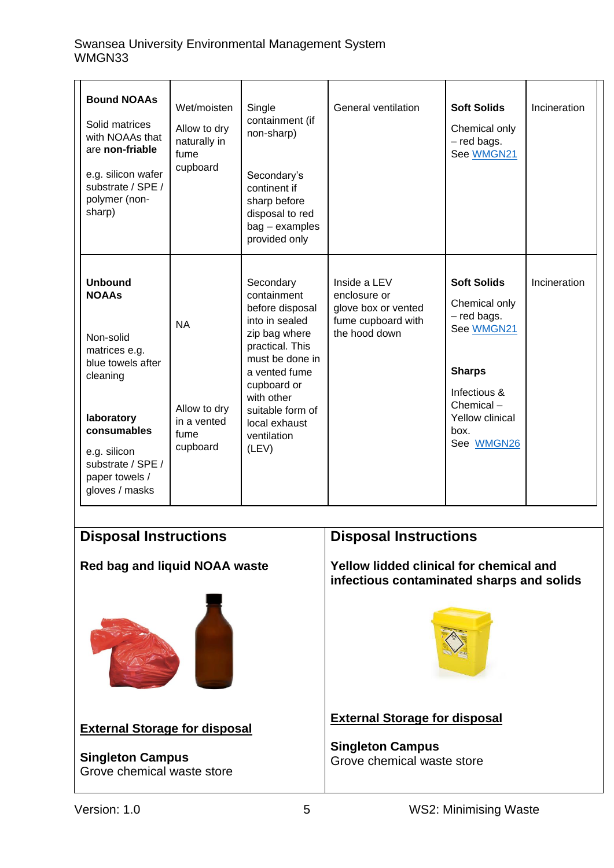#### Swansea University Environmental Management System WMGN33

| <b>Bound NOAAs</b><br>Solid matrices<br>with NOAAs that<br>are non-friable<br>e.g. silicon wafer<br>substrate / SPE /<br>polymer (non-<br>sharp)                                                    | Wet/moisten<br>Allow to dry<br>naturally in<br>fume<br>cupboard | Single<br>containment (if<br>non-sharp)<br>Secondary's<br>continent if<br>sharp before<br>disposal to red<br>$bag - examples$<br>provided only                                                                                  | General ventilation                                                                        | <b>Soft Solids</b><br>Chemical only<br>- red bags.<br>See WMGN21                                                                                        | Incineration |
|-----------------------------------------------------------------------------------------------------------------------------------------------------------------------------------------------------|-----------------------------------------------------------------|---------------------------------------------------------------------------------------------------------------------------------------------------------------------------------------------------------------------------------|--------------------------------------------------------------------------------------------|---------------------------------------------------------------------------------------------------------------------------------------------------------|--------------|
| <b>Unbound</b><br><b>NOAAs</b><br>Non-solid<br>matrices e.g.<br>blue towels after<br>cleaning<br>laboratory<br>consumables<br>e.g. silicon<br>substrate / SPE /<br>paper towels /<br>gloves / masks | <b>NA</b><br>Allow to dry<br>in a vented<br>fume<br>cupboard    | Secondary<br>containment<br>before disposal<br>into in sealed<br>zip bag where<br>practical. This<br>must be done in<br>a vented fume<br>cupboard or<br>with other<br>suitable form of<br>local exhaust<br>ventilation<br>(LEV) | Inside a LEV<br>enclosure or<br>glove box or vented<br>fume cupboard with<br>the hood down | <b>Soft Solids</b><br>Chemical only<br>- red bags.<br>See WMGN21<br><b>Sharps</b><br>Infectious &<br>Chemical-<br>Yellow clinical<br>box.<br>See WMGN26 | Incineration |

## **Disposal Instructions**

## **Red bag and liquid NOAA waste**



## **External Storage for disposal**

#### **Singleton Campus** Grove chemical waste store

## **Disposal Instructions**

**Yellow lidded clinical for chemical and infectious contaminated sharps and solids** 



### **External Storage for disposal**

**Singleton Campus** Grove chemical waste store